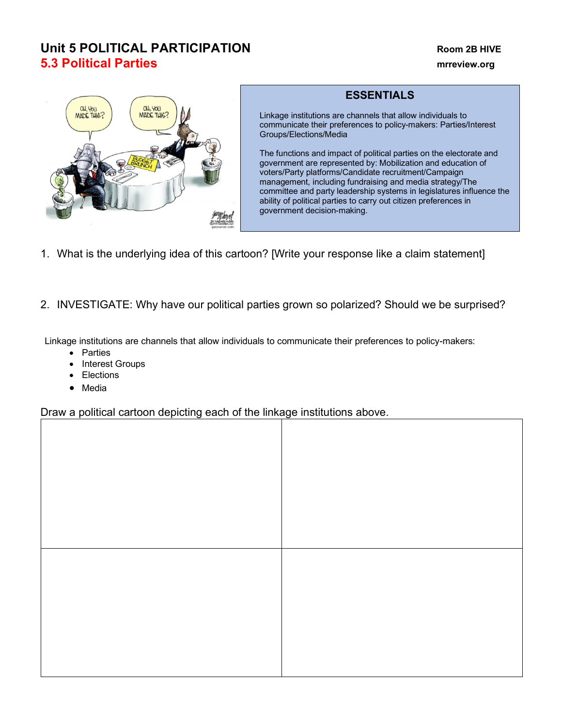# **Unit 5 POLITICAL PARTICIPATION Room 2B HIVE 5.3 Political Parties mrreview.org**



## **ESSENTIALS**

Linkage institutions are channels that allow individuals to communicate their preferences to policy-makers: Parties/Interest Groups/Elections/Media

The functions and impact of political parties on the electorate and government are represented by: Mobilization and education of voters/Party platforms/Candidate recruitment/Campaign management, including fundraising and media strategy/The committee and party leadership systems in legislatures influence the ability of political parties to carry out citizen preferences in government decision-making.

- 1. What is the underlying idea of this cartoon? [Write your response like a claim statement]
- 2. INVESTIGATE: Why have our political parties grown so polarized? Should we be surprised?

Linkage institutions are channels that allow individuals to communicate their preferences to policy-makers:

- Parties
- Interest Groups
- Elections
- Media

Draw a political cartoon depicting each of the linkage institutions above.

| $\sim$ $\sim$ | $\overline{\phantom{a}}$ | <u>ی ۔</u><br>.<br>$ -$<br>.<br>$\overline{\phantom{a}}$ |
|---------------|--------------------------|----------------------------------------------------------|
|               |                          |                                                          |
|               |                          |                                                          |
|               |                          |                                                          |
|               |                          |                                                          |
|               |                          |                                                          |
|               |                          |                                                          |
|               |                          |                                                          |
|               |                          |                                                          |
|               |                          |                                                          |
|               |                          |                                                          |
|               |                          |                                                          |
|               |                          |                                                          |
|               |                          |                                                          |
|               |                          |                                                          |
|               |                          |                                                          |
|               |                          |                                                          |
|               |                          |                                                          |
|               |                          |                                                          |
|               |                          |                                                          |
|               |                          |                                                          |
|               |                          |                                                          |
|               |                          |                                                          |
|               |                          |                                                          |
|               |                          |                                                          |
|               |                          |                                                          |
|               |                          |                                                          |
|               |                          |                                                          |
|               |                          |                                                          |
|               |                          |                                                          |
|               |                          |                                                          |
|               |                          |                                                          |
|               |                          |                                                          |
|               |                          |                                                          |
|               |                          |                                                          |
|               |                          |                                                          |
|               |                          |                                                          |
|               |                          |                                                          |
|               |                          |                                                          |
|               |                          |                                                          |
|               |                          |                                                          |
|               |                          |                                                          |
|               |                          |                                                          |
|               |                          |                                                          |
|               |                          |                                                          |
|               |                          |                                                          |
|               |                          |                                                          |
|               |                          |                                                          |
|               |                          |                                                          |
|               |                          |                                                          |
|               |                          |                                                          |
|               |                          |                                                          |
|               |                          |                                                          |
|               |                          |                                                          |
|               |                          |                                                          |
|               |                          |                                                          |
|               |                          |                                                          |
|               |                          |                                                          |
|               |                          |                                                          |
|               |                          |                                                          |
|               |                          |                                                          |
|               |                          |                                                          |
|               |                          |                                                          |
|               |                          |                                                          |
|               |                          |                                                          |
|               |                          |                                                          |
|               |                          |                                                          |
|               |                          |                                                          |
|               |                          |                                                          |
|               |                          |                                                          |
|               |                          |                                                          |
|               |                          |                                                          |
|               |                          |                                                          |
|               |                          |                                                          |
|               |                          |                                                          |
|               |                          |                                                          |
|               |                          |                                                          |
|               |                          |                                                          |
|               |                          |                                                          |